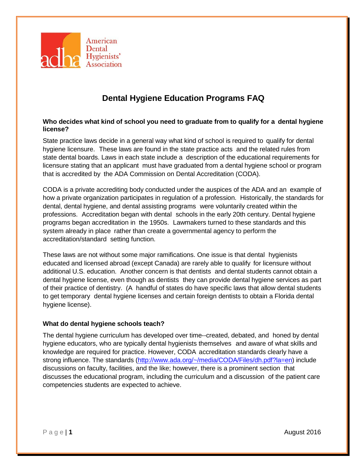

## **Dental Hygiene Education Programs FAQ**

## **Who decides what kind of school you need to graduate from to qualify for a dental hygiene license?**

State practice laws decide in a general way what kind of school is required to qualify for dental hygiene licensure. These laws are found in the state practice acts and the related rules from state dental boards. Laws in each state include a description of the educational requirements for licensure stating that an applicant must have graduated from a dental hygiene school or program that is accredited by the ADA Commission on Dental Accreditation (CODA).

CODA is a private accrediting body conducted under the auspices of the ADA and an example of how a private organization participates in regulation of a profession. Historically, the standards for dental, dental hygiene, and dental assisting programs were voluntarily created within the professions. Accreditation began with dental schools in the early 20th century. Dental hygiene programs began accreditation in the 1950s. Lawmakers turned to these standards and this system already in place rather than create a governmental agency to perform the accreditation/standard setting function.

These laws are not without some major ramifications. One issue is that dental hygienists educated and licensed abroad (except Canada) are rarely able to qualify for licensure without additional U.S. education. Another concern is that dentists and dental students cannot obtain a dental hygiene license, even though as dentists they can provide dental hygiene services as part of their practice of dentistry. (A handful of states do have specific laws that allow dental students to get temporary dental hygiene licenses and certain foreign dentists to obtain a Florida dental hygiene license).

## **What do dental hygiene schools teach?**

The dental hygiene curriculum has developed over time--created, debated, and honed by dental hygiene educators, who are typically dental hygienists themselves and aware of what skills and knowledge are required for practice. However, CODA accreditation standards clearly have a strong influence. The standards [\(http://www.ada.org/~/media/CODA/Files/dh.pdf?la=en\)](http://www.ada.org/%7E/media/CODA/Files/dh.pdf?la=en) include discussions on faculty, facilities, and the like; however, there is a prominent section that discusses the educational program, including the curriculum and a discussion of the patient care competencies students are expected to achieve.

Page | **1** August 2016